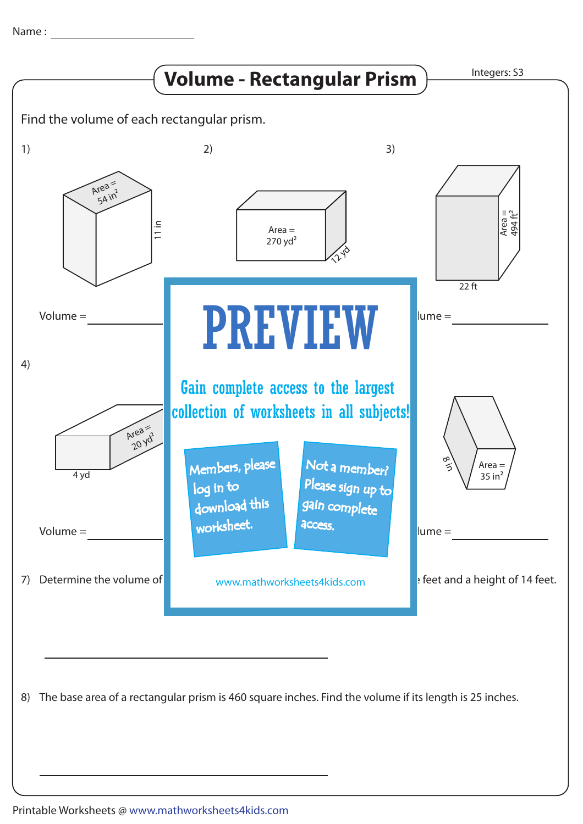Name :